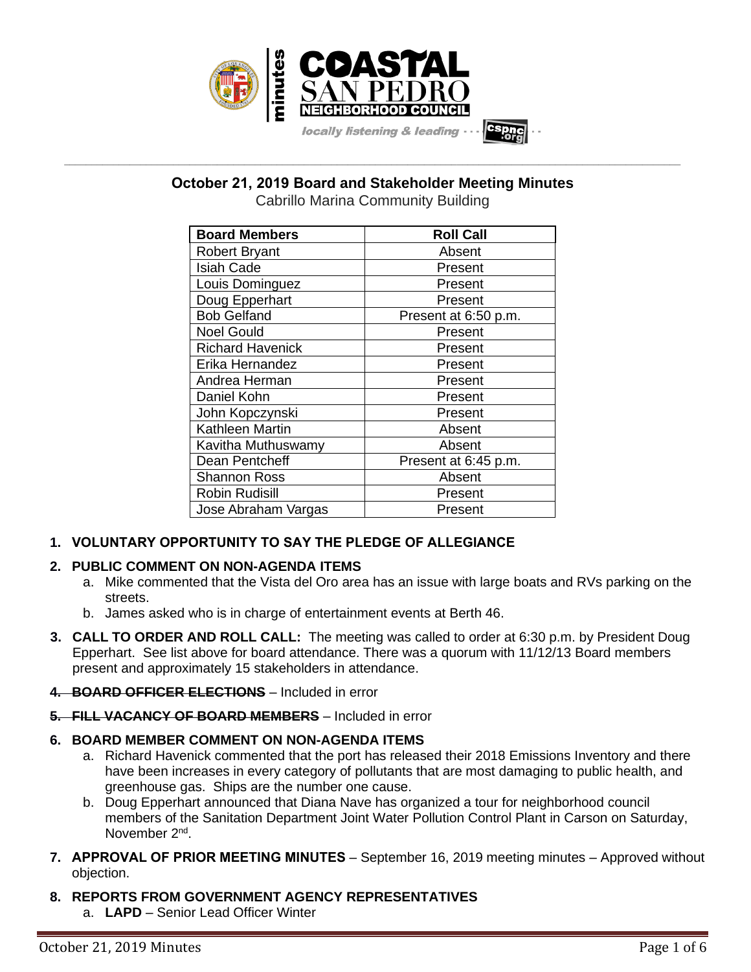

**October 21, 2019 Board and Stakeholder Meeting Minutes**

**\_\_\_\_\_\_\_\_\_\_\_\_\_\_\_\_\_\_\_\_\_\_\_\_\_\_\_\_\_\_\_\_\_\_\_\_\_\_\_\_\_\_\_\_\_\_\_\_\_\_\_\_\_\_\_\_\_\_\_\_\_\_\_\_\_\_\_\_\_\_\_\_\_\_\_\_\_\_\_\_\_\_\_\_\_\_\_\_\_\_\_\_\_\_\_\_\_\_\_\_\_\_\_\_\_\_\_\_\_\_\_\_\_**

Cabrillo Marina Community Building

| <b>Board Members</b>    | <b>Roll Call</b>     |
|-------------------------|----------------------|
| <b>Robert Bryant</b>    | Absent               |
| <b>Isiah Cade</b>       | Present              |
| Louis Dominguez         | Present              |
| Doug Epperhart          | Present              |
| <b>Bob Gelfand</b>      | Present at 6:50 p.m. |
| <b>Noel Gould</b>       | Present              |
| <b>Richard Havenick</b> | Present              |
| Erika Hernandez         | Present              |
| Andrea Herman           | Present              |
| Daniel Kohn             | Present              |
| John Kopczynski         | Present              |
| <b>Kathleen Martin</b>  | Absent               |
| Kavitha Muthuswamy      | Absent               |
| Dean Pentcheff          | Present at 6:45 p.m. |
| <b>Shannon Ross</b>     | Absent               |
| <b>Robin Rudisill</b>   | Present              |
| Jose Abraham Vargas     | Present              |

# **1. VOLUNTARY OPPORTUNITY TO SAY THE PLEDGE OF ALLEGIANCE**

# **2. PUBLIC COMMENT ON NON-AGENDA ITEMS**

- a. Mike commented that the Vista del Oro area has an issue with large boats and RVs parking on the streets.
- b. James asked who is in charge of entertainment events at Berth 46.
- **3. CALL TO ORDER AND ROLL CALL:** The meeting was called to order at 6:30 p.m. by President Doug Epperhart. See list above for board attendance. There was a quorum with 11/12/13 Board members present and approximately 15 stakeholders in attendance.

# **4. BOARD OFFICER ELECTIONS** – Included in error

**5. FILL VACANCY OF BOARD MEMBERS** – Included in error

# **6. BOARD MEMBER COMMENT ON NON-AGENDA ITEMS**

- a. Richard Havenick commented that the port has released their 2018 Emissions Inventory and there have been increases in every category of pollutants that are most damaging to public health, and greenhouse gas. Ships are the number one cause.
- b. Doug Epperhart announced that Diana Nave has organized a tour for neighborhood council members of the Sanitation Department Joint Water Pollution Control Plant in Carson on Saturday, November 2<sup>nd</sup>.
- **7. APPROVAL OF PRIOR MEETING MINUTES** September 16, 2019 meeting minutes Approved without objection.

# **8. REPORTS FROM GOVERNMENT AGENCY REPRESENTATIVES**

a. **LAPD** – Senior Lead Officer Winter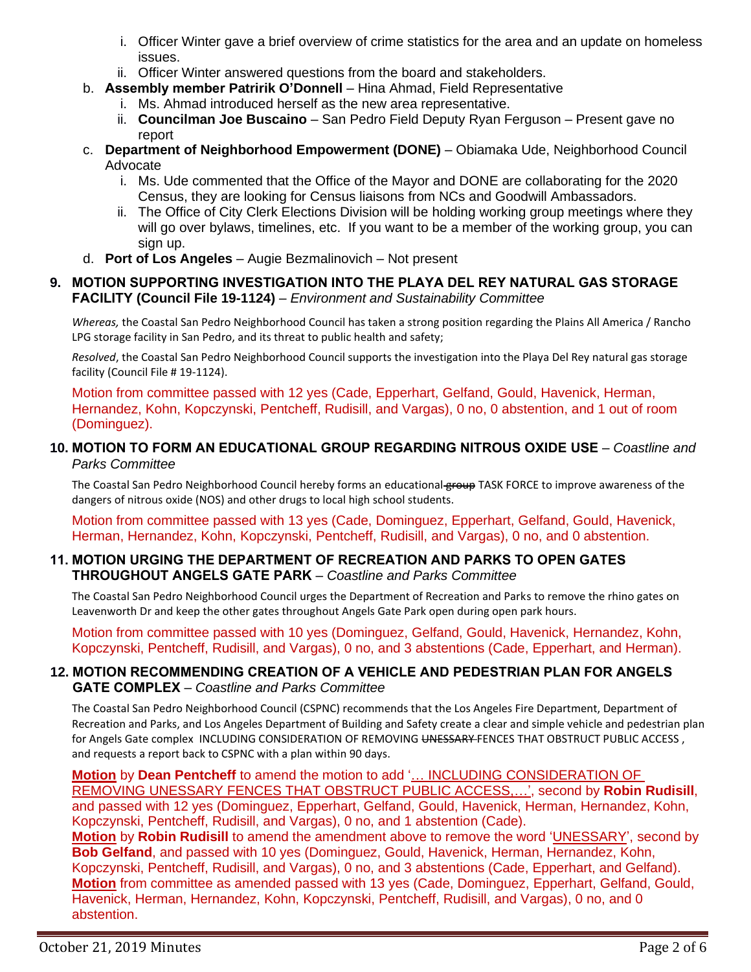- i. Officer Winter gave a brief overview of crime statistics for the area and an update on homeless issues.
- ii. Officer Winter answered questions from the board and stakeholders.
- b. **Assembly member Patririk O'Donnell** Hina Ahmad, Field Representative
	- i. Ms. Ahmad introduced herself as the new area representative.
	- ii. **Councilman Joe Buscaino** San Pedro Field Deputy Ryan Ferguson Present gave no report
- c. **Department of Neighborhood Empowerment (DONE)** Obiamaka Ude, Neighborhood Council Advocate
	- i. Ms. Ude commented that the Office of the Mayor and DONE are collaborating for the 2020 Census, they are looking for Census liaisons from NCs and Goodwill Ambassadors.
	- ii. The Office of City Clerk Elections Division will be holding working group meetings where they will go over bylaws, timelines, etc. If you want to be a member of the working group, you can sign up.
- d. **Port of Los Angeles** Augie Bezmalinovich Not present

# **9. MOTION SUPPORTING INVESTIGATION INTO THE PLAYA DEL REY NATURAL GAS STORAGE FACILITY (Council File 19-1124)** – *Environment and Sustainability Committee*

*Whereas,* the Coastal San Pedro Neighborhood Council has taken a strong position regarding the Plains All America / Rancho LPG storage facility in San Pedro, and its threat to public health and safety;

*Resolved*, the Coastal San Pedro Neighborhood Council supports the investigation into the Playa Del Rey natural gas storage facility (Council File # 19-1124).

Motion from committee passed with 12 yes (Cade, Epperhart, Gelfand, Gould, Havenick, Herman, Hernandez, Kohn, Kopczynski, Pentcheff, Rudisill, and Vargas), 0 no, 0 abstention, and 1 out of room (Dominguez).

# **10. MOTION TO FORM AN EDUCATIONAL GROUP REGARDING NITROUS OXIDE USE** – *Coastline and Parks Committee*

The Coastal San Pedro Neighborhood Council hereby forms an educational group TASK FORCE to improve awareness of the dangers of nitrous oxide (NOS) and other drugs to local high school students.

Motion from committee passed with 13 yes (Cade, Dominguez, Epperhart, Gelfand, Gould, Havenick, Herman, Hernandez, Kohn, Kopczynski, Pentcheff, Rudisill, and Vargas), 0 no, and 0 abstention.

# **11. MOTION URGING THE DEPARTMENT OF RECREATION AND PARKS TO OPEN GATES THROUGHOUT ANGELS GATE PARK** – *Coastline and Parks Committee*

The Coastal San Pedro Neighborhood Council urges the Department of Recreation and Parks to remove the rhino gates on Leavenworth Dr and keep the other gates throughout Angels Gate Park open during open park hours.

Motion from committee passed with 10 yes (Dominguez, Gelfand, Gould, Havenick, Hernandez, Kohn, Kopczynski, Pentcheff, Rudisill, and Vargas), 0 no, and 3 abstentions (Cade, Epperhart, and Herman).

# **12. MOTION RECOMMENDING CREATION OF A VEHICLE AND PEDESTRIAN PLAN FOR ANGELS GATE COMPLEX** – *Coastline and Parks Committee*

The Coastal San Pedro Neighborhood Council (CSPNC) recommends that the Los Angeles Fire Department, Department of Recreation and Parks, and Los Angeles Department of Building and Safety create a clear and simple vehicle and pedestrian plan for Angels Gate complex INCLUDING CONSIDERATION OF REMOVING UNESSARY FENCES THAT OBSTRUCT PUBLIC ACCESS, and requests a report back to CSPNC with a plan within 90 days.

**Motion** by **Dean Pentcheff** to amend the motion to add '… INCLUDING CONSIDERATION OF REMOVING UNESSARY FENCES THAT OBSTRUCT PUBLIC ACCESS,…', second by **Robin Rudisill**, and passed with 12 yes (Dominguez, Epperhart, Gelfand, Gould, Havenick, Herman, Hernandez, Kohn, Kopczynski, Pentcheff, Rudisill, and Vargas), 0 no, and 1 abstention (Cade).

**Motion** by **Robin Rudisill** to amend the amendment above to remove the word 'UNESSARY', second by **Bob Gelfand**, and passed with 10 yes (Dominguez, Gould, Havenick, Herman, Hernandez, Kohn, Kopczynski, Pentcheff, Rudisill, and Vargas), 0 no, and 3 abstentions (Cade, Epperhart, and Gelfand). **Motion** from committee as amended passed with 13 yes (Cade, Dominguez, Epperhart, Gelfand, Gould, Havenick, Herman, Hernandez, Kohn, Kopczynski, Pentcheff, Rudisill, and Vargas), 0 no, and 0 abstention.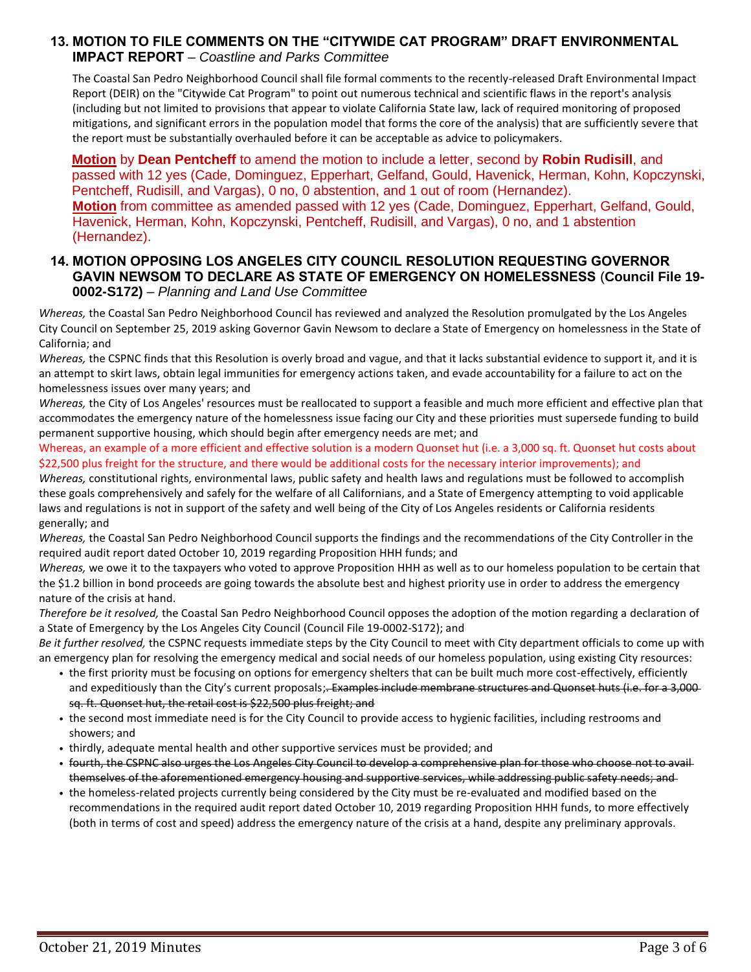#### **13. MOTION TO FILE COMMENTS ON THE "CITYWIDE CAT PROGRAM" DRAFT ENVIRONMENTAL IMPACT REPORT** – *Coastline and Parks Committee*

The Coastal San Pedro Neighborhood Council shall file formal comments to the recently-released Draft Environmental Impact Report (DEIR) on the "Citywide Cat Program" to point out numerous technical and scientific flaws in the report's analysis (including but not limited to provisions that appear to violate California State law, lack of required monitoring of proposed mitigations, and significant errors in the population model that forms the core of the analysis) that are sufficiently severe that the report must be substantially overhauled before it can be acceptable as advice to policymakers.

**Motion** by **Dean Pentcheff** to amend the motion to include a letter, second by **Robin Rudisill**, and passed with 12 yes (Cade, Dominguez, Epperhart, Gelfand, Gould, Havenick, Herman, Kohn, Kopczynski, Pentcheff, Rudisill, and Vargas), 0 no, 0 abstention, and 1 out of room (Hernandez). **Motion** from committee as amended passed with 12 yes (Cade, Dominguez, Epperhart, Gelfand, Gould, Havenick, Herman, Kohn, Kopczynski, Pentcheff, Rudisill, and Vargas), 0 no, and 1 abstention (Hernandez).

# **14. MOTION OPPOSING LOS ANGELES CITY COUNCIL RESOLUTION REQUESTING GOVERNOR GAVIN NEWSOM TO DECLARE AS STATE OF EMERGENCY ON HOMELESSNESS** (**Council File 19- 0002-S172)** – *Planning and Land Use Committee*

*Whereas,* the Coastal San Pedro Neighborhood Council has reviewed and analyzed the Resolution promulgated by the Los Angeles City Council on September 25, 2019 asking Governor Gavin Newsom to declare a State of Emergency on homelessness in the State of California; and

*Whereas,* the CSPNC finds that this Resolution is overly broad and vague, and that it lacks substantial evidence to support it, and it is an attempt to skirt laws, obtain legal immunities for emergency actions taken, and evade accountability for a failure to act on the homelessness issues over many years; and

*Whereas,* the City of Los Angeles' resources must be reallocated to support a feasible and much more efficient and effective plan that accommodates the emergency nature of the homelessness issue facing our City and these priorities must supersede funding to build permanent supportive housing, which should begin after emergency needs are met; and

Whereas, an example of a more efficient and effective solution is a modern Quonset hut (i.e. a 3,000 sq. ft. Quonset hut costs about \$22,500 plus freight for the structure, and there would be additional costs for the necessary interior improvements); and

*Whereas,* constitutional rights, environmental laws, public safety and health laws and regulations must be followed to accomplish these goals comprehensively and safely for the welfare of all Californians, and a State of Emergency attempting to void applicable laws and regulations is not in support of the safety and well being of the City of Los Angeles residents or California residents generally; and

*Whereas,* the Coastal San Pedro Neighborhood Council supports the findings and the recommendations of the City Controller in the required audit report dated October 10, 2019 regarding Proposition HHH funds; and

*Whereas,* we owe it to the taxpayers who voted to approve Proposition HHH as well as to our homeless population to be certain that the \$1.2 billion in bond proceeds are going towards the absolute best and highest priority use in order to address the emergency nature of the crisis at hand.

*Therefore be it resolved,* the Coastal San Pedro Neighborhood Council opposes the adoption of the motion regarding a declaration of a State of Emergency by the Los Angeles City Council (Council File 19-0002-S172); and

*Be it further resolved,* the CSPNC requests immediate steps by the City Council to meet with City department officials to come up with an emergency plan for resolving the emergency medical and social needs of our homeless population, using existing City resources:

- *•* the first priority must be focusing on options for emergency shelters that can be built much more cost-effectively, efficiently and expeditiously than the City's current proposals;<del>. Examples include membrane structures and Quonset huts (i.e. for a 3,000</del> sq. ft. Quonset hut, the retail cost is \$22,500 plus freight; and
- *•* the second most immediate need is for the City Council to provide access to hygienic facilities, including restrooms and showers; and
- *•* thirdly, adequate mental health and other supportive services must be provided; and
- *•* fourth, the CSPNC also urges the Los Angeles City Council to develop a comprehensive plan for those who choose not to avail themselves of the aforementioned emergency housing and supportive services, while addressing public safety needs; and
- *•* the homeless-related projects currently being considered by the City must be re-evaluated and modified based on the recommendations in the required audit report dated October 10, 2019 regarding Proposition HHH funds, to more effectively (both in terms of cost and speed) address the emergency nature of the crisis at a hand, despite any preliminary approvals.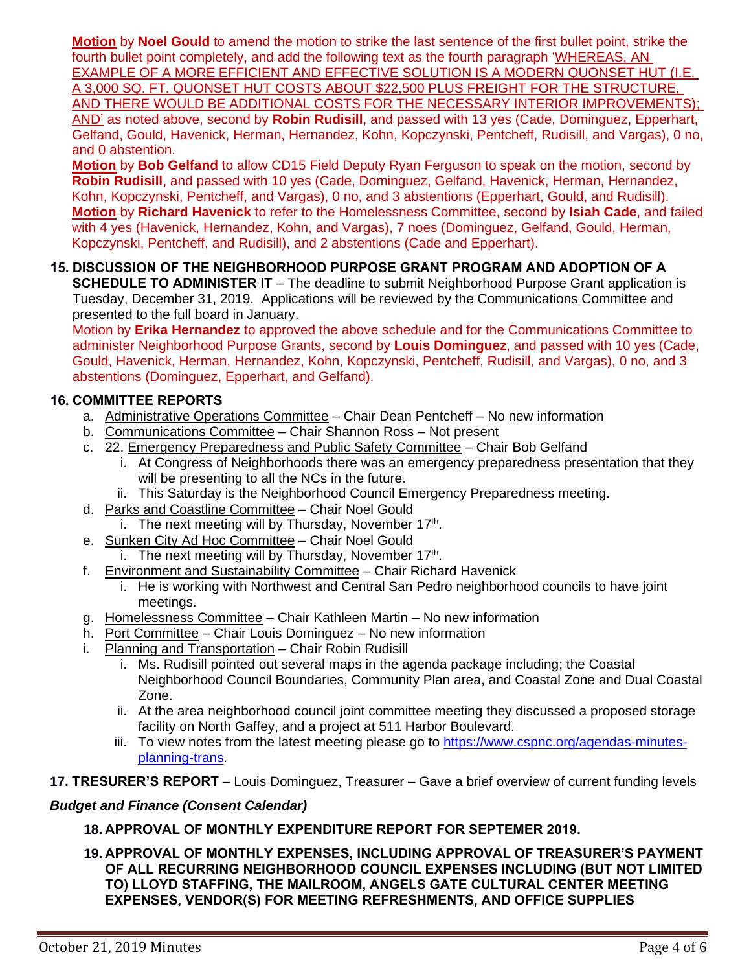**Motion** by **Noel Gould** to amend the motion to strike the last sentence of the first bullet point, strike the fourth bullet point completely, and add the following text as the fourth paragraph 'WHEREAS, AN EXAMPLE OF A MORE EFFICIENT AND EFFECTIVE SOLUTION IS A MODERN QUONSET HUT (I.E. A 3,000 SQ. FT. QUONSET HUT COSTS ABOUT \$22,500 PLUS FREIGHT FOR THE STRUCTURE, AND THERE WOULD BE ADDITIONAL COSTS FOR THE NECESSARY INTERIOR IMPROVEMENTS); AND' as noted above, second by **Robin Rudisill**, and passed with 13 yes (Cade, Dominguez, Epperhart, Gelfand, Gould, Havenick, Herman, Hernandez, Kohn, Kopczynski, Pentcheff, Rudisill, and Vargas), 0 no, and 0 abstention.

**Motion** by **Bob Gelfand** to allow CD15 Field Deputy Ryan Ferguson to speak on the motion, second by **Robin Rudisill**, and passed with 10 yes (Cade, Dominguez, Gelfand, Havenick, Herman, Hernandez, Kohn, Kopczynski, Pentcheff, and Vargas), 0 no, and 3 abstentions (Epperhart, Gould, and Rudisill). **Motion** by **Richard Havenick** to refer to the Homelessness Committee, second by **Isiah Cade**, and failed with 4 yes (Havenick, Hernandez, Kohn, and Vargas), 7 noes (Dominguez, Gelfand, Gould, Herman, Kopczynski, Pentcheff, and Rudisill), and 2 abstentions (Cade and Epperhart).

# **15. DISCUSSION OF THE NEIGHBORHOOD PURPOSE GRANT PROGRAM AND ADOPTION OF A**

**SCHEDULE TO ADMINISTER IT** – The deadline to submit Neighborhood Purpose Grant application is Tuesday, December 31, 2019. Applications will be reviewed by the Communications Committee and presented to the full board in January.

Motion by **Erika Hernandez** to approved the above schedule and for the Communications Committee to administer Neighborhood Purpose Grants, second by **Louis Dominguez**, and passed with 10 yes (Cade, Gould, Havenick, Herman, Hernandez, Kohn, Kopczynski, Pentcheff, Rudisill, and Vargas), 0 no, and 3 abstentions (Dominguez, Epperhart, and Gelfand).

# **16. COMMITTEE REPORTS**

- a. Administrative Operations Committee Chair Dean Pentcheff No new information
- b. Communications Committee Chair Shannon Ross Not present
- c. 22. Emergency Preparedness and Public Safety Committee Chair Bob Gelfand
	- i. At Congress of Neighborhoods there was an emergency preparedness presentation that they will be presenting to all the NCs in the future.
	- ii. This Saturday is the Neighborhood Council Emergency Preparedness meeting.
- d. Parks and Coastline Committee Chair Noel Gould
	- i. The next meeting will by Thursday, November  $17<sup>th</sup>$ .
- e. Sunken City Ad Hoc Committee Chair Noel Gould
	- i. The next meeting will by Thursday, November  $17<sup>th</sup>$ .
- f. Environment and Sustainability Committee Chair Richard Havenick
	- i. He is working with Northwest and Central San Pedro neighborhood councils to have joint meetings.
- g. Homelessness Committee Chair Kathleen Martin No new information
- h. Port Committee Chair Louis Dominguez No new information
- i. Planning and Transportation Chair Robin Rudisill
	- i. Ms. Rudisill pointed out several maps in the agenda package including; the Coastal Neighborhood Council Boundaries, Community Plan area, and Coastal Zone and Dual Coastal Zone.
	- ii. At the area neighborhood council joint committee meeting they discussed a proposed storage facility on North Gaffey, and a project at 511 Harbor Boulevard.
	- iii. To view notes from the latest meeting please go to [https://www.cspnc.org/agendas-minutes](https://www.cspnc.org/agendas-minutes-planning-trans)[planning-trans.](https://www.cspnc.org/agendas-minutes-planning-trans)
- **17. TRESURER'S REPORT** Louis Dominguez, Treasurer Gave a brief overview of current funding levels

# *Budget and Finance (Consent Calendar)*

# **18. APPROVAL OF MONTHLY EXPENDITURE REPORT FOR SEPTEMER 2019.**

**19. APPROVAL OF MONTHLY EXPENSES, INCLUDING APPROVAL OF TREASURER'S PAYMENT OF ALL RECURRING NEIGHBORHOOD COUNCIL EXPENSES INCLUDING (BUT NOT LIMITED TO) LLOYD STAFFING, THE MAILROOM, ANGELS GATE CULTURAL CENTER MEETING EXPENSES, VENDOR(S) FOR MEETING REFRESHMENTS, AND OFFICE SUPPLIES**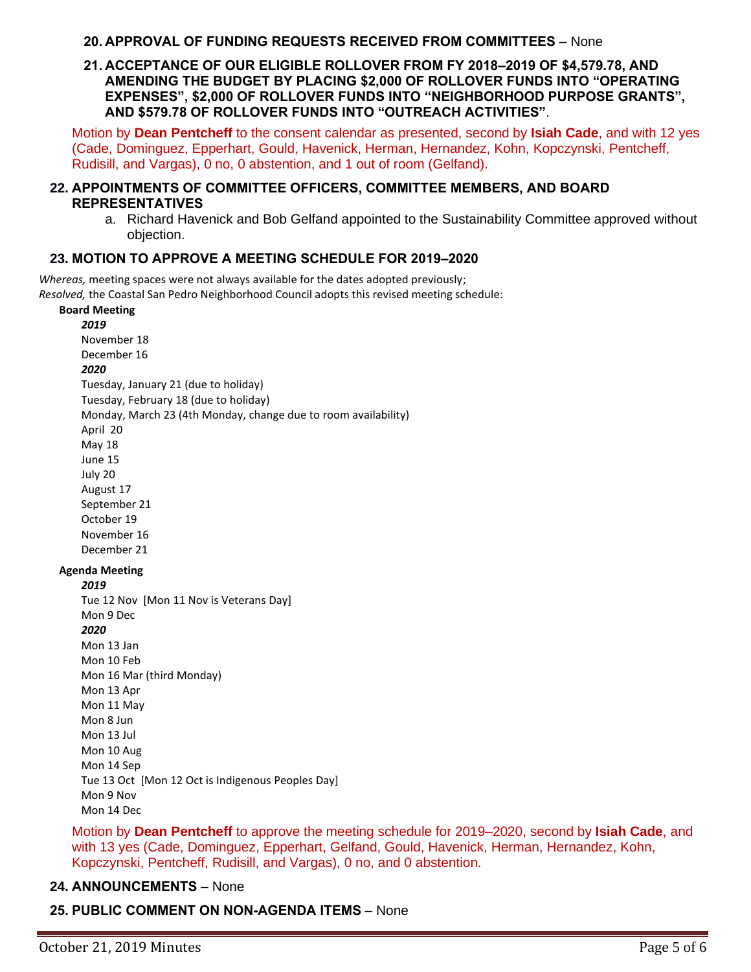#### **20. APPROVAL OF FUNDING REQUESTS RECEIVED FROM COMMITTEES** – None

#### **21. ACCEPTANCE OF OUR ELIGIBLE ROLLOVER FROM FY 2018–2019 OF \$4,579.78, AND AMENDING THE BUDGET BY PLACING \$2,000 OF ROLLOVER FUNDS INTO "OPERATING EXPENSES", \$2,000 OF ROLLOVER FUNDS INTO "NEIGHBORHOOD PURPOSE GRANTS", AND \$579.78 OF ROLLOVER FUNDS INTO "OUTREACH ACTIVITIES"**.

Motion by **Dean Pentcheff** to the consent calendar as presented, second by **Isiah Cade**, and with 12 yes (Cade, Dominguez, Epperhart, Gould, Havenick, Herman, Hernandez, Kohn, Kopczynski, Pentcheff, Rudisill, and Vargas), 0 no, 0 abstention, and 1 out of room (Gelfand).

#### **22. APPOINTMENTS OF COMMITTEE OFFICERS, COMMITTEE MEMBERS, AND BOARD REPRESENTATIVES**

a. Richard Havenick and Bob Gelfand appointed to the Sustainability Committee approved without objection.

#### **23. MOTION TO APPROVE A MEETING SCHEDULE FOR 2019–2020**

*Whereas,* meeting spaces were not always available for the dates adopted previously; *Resolved,* the Coastal San Pedro Neighborhood Council adopts this revised meeting schedule:

#### **Board Meeting** *2019*

November 18 December 16 *2020* Tuesday, January 21 (due to holiday) Tuesday, February 18 (due to holiday) Monday, March 23 (4th Monday, change due to room availability) April 20 May 18 June 15 July 20 August 17 September 21 October 19 November 16 December 21 **Agenda Meeting** *2019* Tue 12 Nov [Mon 11 Nov is Veterans Day] Mon 9 Dec *2020* Mon 13 Jan Mon 10 Feb Mon 16 Mar (third Monday)

Mon 13 Apr Mon 11 May Mon 8 Jun Mon 13 Jul Mon 10 Aug Mon 14 Sep Tue 13 Oct [Mon 12 Oct is Indigenous Peoples Day] Mon 9 Nov Mon 14 Dec

Motion by **Dean Pentcheff** to approve the meeting schedule for 2019–2020, second by **Isiah Cade**, and with 13 yes (Cade, Dominguez, Epperhart, Gelfand, Gould, Havenick, Herman, Hernandez, Kohn, Kopczynski, Pentcheff, Rudisill, and Vargas), 0 no, and 0 abstention.

# **24. ANNOUNCEMENTS** – None

# **25. PUBLIC COMMENT ON NON-AGENDA ITEMS** – None